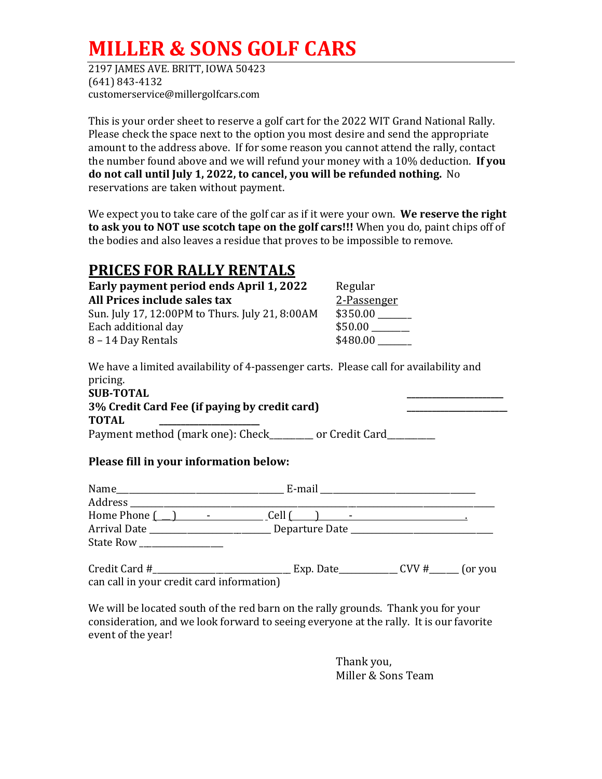# **MILLER & SONS GOLF CARS**

2197 JAMES AVE. BRITT, IOWA 50423 (641) 843-4132 customerservice@millergolfcars.com

This is your order sheet to reserve a golf cart for the 2022 WIT Grand National Rally. Please check the space next to the option you most desire and send the appropriate amount to the address above. If for some reason you cannot attend the rally, contact the number found above and we will refund your money with a 10% deduction. **If you do not call until July 1, 2022, to cancel, you will be refunded nothing.** No reservations are taken without payment.

We expect you to take care of the golf car as if it were your own. **We reserve the right to ask you to NOT use scotch tape on the golf cars!!!** When you do, paint chips off of the bodies and also leaves a residue that proves to be impossible to remove.

### **PRICES FOR RALLY RENTALS**

| Regular     |
|-------------|
| 2-Passenger |
| \$350.00    |
| \$50.00     |
| \$480.00    |
|             |

We have a limited availability of 4-passenger carts. Please call for availability and pricing.

| <b>SUB-TOTAL</b>                                 |                                             |  |
|--------------------------------------------------|---------------------------------------------|--|
| 3% Credit Card Fee (if paying by credit card)    |                                             |  |
| <b>TOTAL</b>                                     |                                             |  |
| $D_{\text{current}}$ and in other defined $\sim$ | $\ldots$ C $\ldots$ d $\ldots$ C $\ldots$ d |  |

Payment method (mark one): Check\_\_\_\_\_\_\_\_ or Credit Card\_\_\_\_\_\_\_\_\_

### **Please fill in your information below:**

| Name                     | E-mail                      |                 |
|--------------------------|-----------------------------|-----------------|
| Address                  |                             |                 |
| Home Phone $\Box$ $\Box$ |                             |                 |
| Arrival Date             | Departure Date ____________ |                 |
| State Row                |                             |                 |
| Credit Card #            | Exp. Date_                  | CVV#<br>(or you |

can call in your credit card information)

We will be located south of the red barn on the rally grounds. Thank you for your consideration, and we look forward to seeing everyone at the rally. It is our favorite event of the year!

> Thank you, Miller & Sons Team